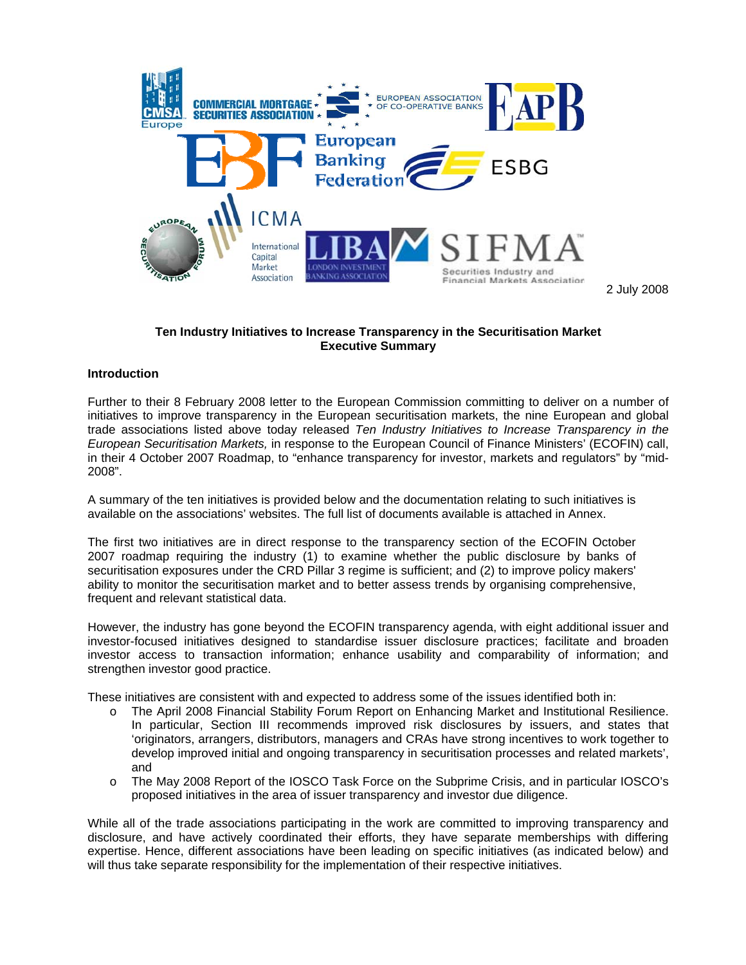

2 July 2008

# **Ten Industry Initiatives to Increase Transparency in the Securitisation Market Executive Summary**

### **Introduction**

Further to their 8 February 2008 letter to the European Commission committing to deliver on a number of initiatives to improve transparency in the European securitisation markets, the nine European and global trade associations listed above today released *Ten Industry Initiatives to Increase Transparency in the European Securitisation Markets,* in response to the European Council of Finance Ministers' (ECOFIN) call, in their 4 October 2007 Roadmap, to "enhance transparency for investor, markets and regulators" by "mid-2008".

A summary of the ten initiatives is provided below and the documentation relating to such initiatives is available on the associations' websites. The full list of documents available is attached in Annex.

The first two initiatives are in direct response to the transparency section of the ECOFIN October 2007 roadmap requiring the industry (1) to examine whether the public disclosure by banks of securitisation exposures under the CRD Pillar 3 regime is sufficient; and (2) to improve policy makers' ability to monitor the securitisation market and to better assess trends by organising comprehensive, frequent and relevant statistical data.

However, the industry has gone beyond the ECOFIN transparency agenda, with eight additional issuer and investor-focused initiatives designed to standardise issuer disclosure practices; facilitate and broaden investor access to transaction information; enhance usability and comparability of information; and strengthen investor good practice.

These initiatives are consistent with and expected to address some of the issues identified both in:

- o The April 2008 Financial Stability Forum Report on Enhancing Market and Institutional Resilience. In particular, Section III recommends improved risk disclosures by issuers, and states that 'originators, arrangers, distributors, managers and CRAs have strong incentives to work together to develop improved initial and ongoing transparency in securitisation processes and related markets', and
- o The May 2008 Report of the IOSCO Task Force on the Subprime Crisis, and in particular IOSCO's proposed initiatives in the area of issuer transparency and investor due diligence.

While all of the trade associations participating in the work are committed to improving transparency and disclosure, and have actively coordinated their efforts, they have separate memberships with differing expertise. Hence, different associations have been leading on specific initiatives (as indicated below) and will thus take separate responsibility for the implementation of their respective initiatives.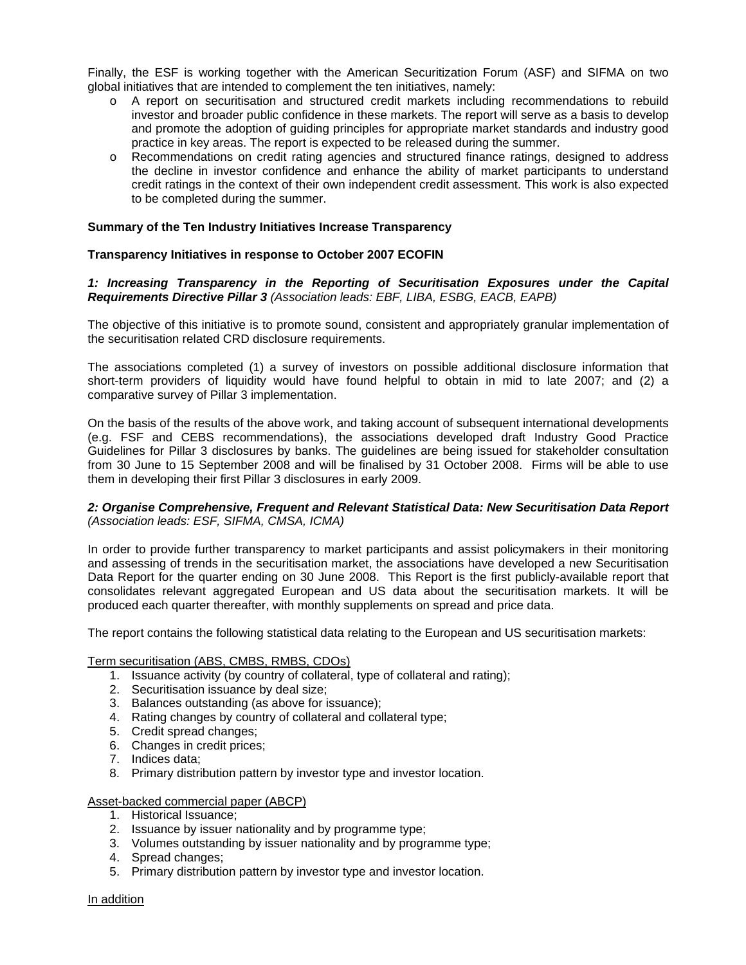Finally, the ESF is working together with the American Securitization Forum (ASF) and SIFMA on two global initiatives that are intended to complement the ten initiatives, namely:

- o A report on securitisation and structured credit markets including recommendations to rebuild investor and broader public confidence in these markets. The report will serve as a basis to develop and promote the adoption of guiding principles for appropriate market standards and industry good practice in key areas. The report is expected to be released during the summer.
- o Recommendations on credit rating agencies and structured finance ratings, designed to address the decline in investor confidence and enhance the ability of market participants to understand credit ratings in the context of their own independent credit assessment. This work is also expected to be completed during the summer.

### **Summary of the Ten Industry Initiatives Increase Transparency**

# **Transparency Initiatives in response to October 2007 ECOFIN**

# *1: Increasing Transparency in the Reporting of Securitisation Exposures under the Capital Requirements Directive Pillar 3 (Association leads: EBF, LIBA, ESBG, EACB, EAPB)*

The objective of this initiative is to promote sound, consistent and appropriately granular implementation of the securitisation related CRD disclosure requirements.

The associations completed (1) a survey of investors on possible additional disclosure information that short-term providers of liquidity would have found helpful to obtain in mid to late 2007; and (2) a comparative survey of Pillar 3 implementation.

On the basis of the results of the above work, and taking account of subsequent international developments (e.g. FSF and CEBS recommendations), the associations developed draft Industry Good Practice Guidelines for Pillar 3 disclosures by banks. The guidelines are being issued for stakeholder consultation from 30 June to 15 September 2008 and will be finalised by 31 October 2008. Firms will be able to use them in developing their first Pillar 3 disclosures in early 2009.

### *2: Organise Comprehensive, Frequent and Relevant Statistical Data: New Securitisation Data Report (Association leads: ESF, SIFMA, CMSA, ICMA)*

In order to provide further transparency to market participants and assist policymakers in their monitoring and assessing of trends in the securitisation market, the associations have developed a new Securitisation Data Report for the quarter ending on 30 June 2008. This Report is the first publicly-available report that consolidates relevant aggregated European and US data about the securitisation markets. It will be produced each quarter thereafter, with monthly supplements on spread and price data.

The report contains the following statistical data relating to the European and US securitisation markets:

### Term securitisation (ABS, CMBS, RMBS, CDOs)

- 1. Issuance activity (by country of collateral, type of collateral and rating);
- 2. Securitisation issuance by deal size;
- 3. Balances outstanding (as above for issuance);
- 4. Rating changes by country of collateral and collateral type;
- 5. Credit spread changes;
- 6. Changes in credit prices;
- 7. Indices data;
- 8. Primary distribution pattern by investor type and investor location.

### Asset-backed commercial paper (ABCP)

- 1. Historical Issuance;
- 2. Issuance by issuer nationality and by programme type;
- 3. Volumes outstanding by issuer nationality and by programme type;
- 4. Spread changes;
- 5. Primary distribution pattern by investor type and investor location.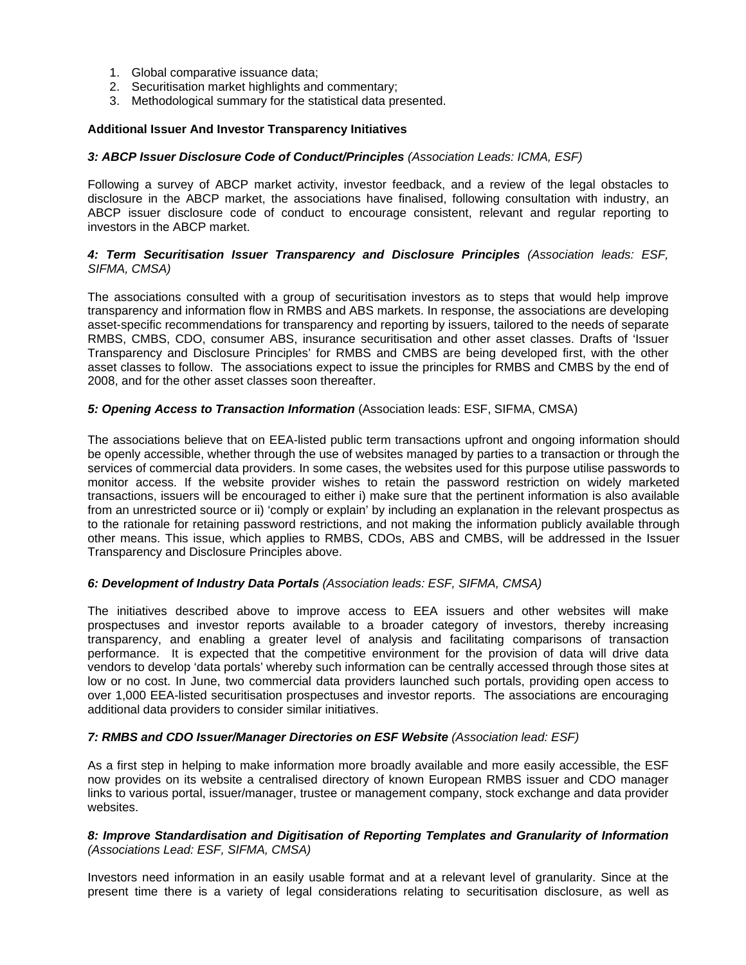- 1. Global comparative issuance data;
- 2. Securitisation market highlights and commentary;
- 3. Methodological summary for the statistical data presented.

# **Additional Issuer And Investor Transparency Initiatives**

### *3: ABCP Issuer Disclosure Code of Conduct/Principles (Association Leads: ICMA, ESF)*

Following a survey of ABCP market activity, investor feedback, and a review of the legal obstacles to disclosure in the ABCP market, the associations have finalised, following consultation with industry, an ABCP issuer disclosure code of conduct to encourage consistent, relevant and regular reporting to investors in the ABCP market.

# *4: Term Securitisation Issuer Transparency and Disclosure Principles (Association leads: ESF, SIFMA, CMSA)*

The associations consulted with a group of securitisation investors as to steps that would help improve transparency and information flow in RMBS and ABS markets. In response, the associations are developing asset-specific recommendations for transparency and reporting by issuers, tailored to the needs of separate RMBS, CMBS, CDO, consumer ABS, insurance securitisation and other asset classes. Drafts of 'Issuer Transparency and Disclosure Principles' for RMBS and CMBS are being developed first, with the other asset classes to follow. The associations expect to issue the principles for RMBS and CMBS by the end of 2008, and for the other asset classes soon thereafter.

# *5: Opening Access to Transaction Information* (Association leads: ESF, SIFMA, CMSA)

The associations believe that on EEA-listed public term transactions upfront and ongoing information should be openly accessible, whether through the use of websites managed by parties to a transaction or through the services of commercial data providers. In some cases, the websites used for this purpose utilise passwords to monitor access. If the website provider wishes to retain the password restriction on widely marketed transactions, issuers will be encouraged to either i) make sure that the pertinent information is also available from an unrestricted source or ii) 'comply or explain' by including an explanation in the relevant prospectus as to the rationale for retaining password restrictions, and not making the information publicly available through other means. This issue, which applies to RMBS, CDOs, ABS and CMBS, will be addressed in the Issuer Transparency and Disclosure Principles above.

### *6: Development of Industry Data Portals (Association leads: ESF, SIFMA, CMSA)*

The initiatives described above to improve access to EEA issuers and other websites will make prospectuses and investor reports available to a broader category of investors, thereby increasing transparency, and enabling a greater level of analysis and facilitating comparisons of transaction performance. It is expected that the competitive environment for the provision of data will drive data vendors to develop 'data portals' whereby such information can be centrally accessed through those sites at low or no cost. In June, two commercial data providers launched such portals, providing open access to over 1,000 EEA-listed securitisation prospectuses and investor reports. The associations are encouraging additional data providers to consider similar initiatives.

### *7: RMBS and CDO Issuer/Manager Directories on ESF Website (Association lead: ESF)*

As a first step in helping to make information more broadly available and more easily accessible, the ESF now provides on its website a centralised directory of known European RMBS issuer and CDO manager links to various portal, issuer/manager, trustee or management company, stock exchange and data provider websites.

### *8: Improve Standardisation and Digitisation of Reporting Templates and Granularity of Information (Associations Lead: ESF, SIFMA, CMSA)*

Investors need information in an easily usable format and at a relevant level of granularity. Since at the present time there is a variety of legal considerations relating to securitisation disclosure, as well as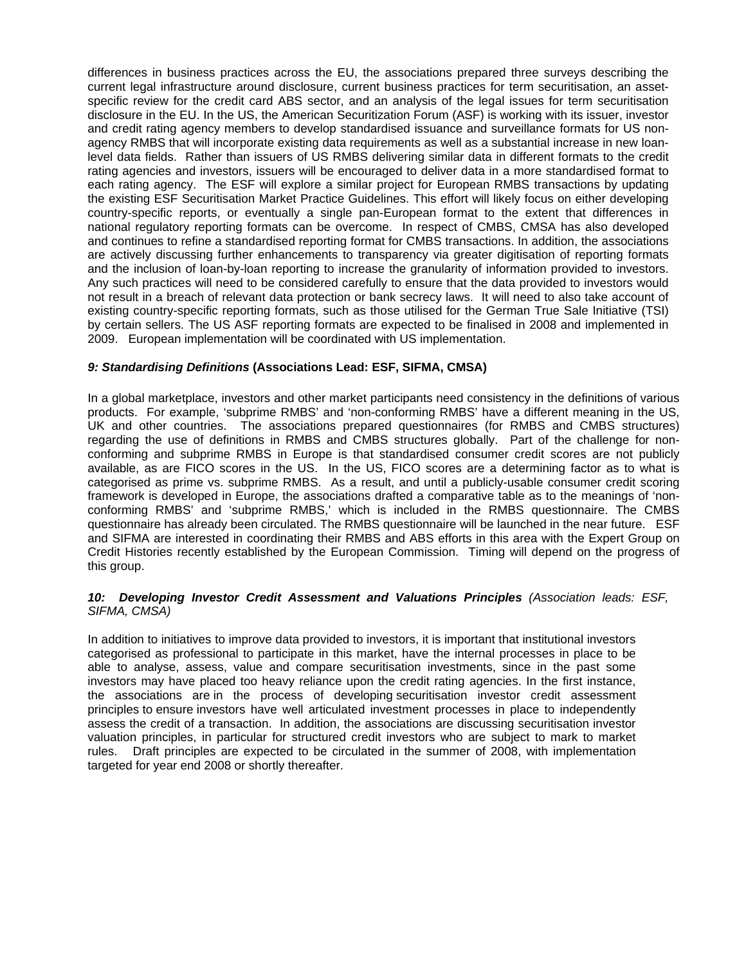differences in business practices across the EU, the associations prepared three surveys describing the current legal infrastructure around disclosure, current business practices for term securitisation, an assetspecific review for the credit card ABS sector, and an analysis of the legal issues for term securitisation disclosure in the EU. In the US, the American Securitization Forum (ASF) is working with its issuer, investor and credit rating agency members to develop standardised issuance and surveillance formats for US nonagency RMBS that will incorporate existing data requirements as well as a substantial increase in new loanlevel data fields. Rather than issuers of US RMBS delivering similar data in different formats to the credit rating agencies and investors, issuers will be encouraged to deliver data in a more standardised format to each rating agency. The ESF will explore a similar project for European RMBS transactions by updating the existing ESF Securitisation Market Practice Guidelines. This effort will likely focus on either developing country-specific reports, or eventually a single pan-European format to the extent that differences in national regulatory reporting formats can be overcome. In respect of CMBS, CMSA has also developed and continues to refine a standardised reporting format for CMBS transactions. In addition, the associations are actively discussing further enhancements to transparency via greater digitisation of reporting formats and the inclusion of loan-by-loan reporting to increase the granularity of information provided to investors. Any such practices will need to be considered carefully to ensure that the data provided to investors would not result in a breach of relevant data protection or bank secrecy laws. It will need to also take account of existing country-specific reporting formats, such as those utilised for the German True Sale Initiative (TSI) by certain sellers. The US ASF reporting formats are expected to be finalised in 2008 and implemented in 2009. European implementation will be coordinated with US implementation.

### *9: Standardising Definitions* **(Associations Lead: ESF, SIFMA, CMSA)**

In a global marketplace, investors and other market participants need consistency in the definitions of various products. For example, 'subprime RMBS' and 'non-conforming RMBS' have a different meaning in the US, UK and other countries. The associations prepared questionnaires (for RMBS and CMBS structures) regarding the use of definitions in RMBS and CMBS structures globally. Part of the challenge for nonconforming and subprime RMBS in Europe is that standardised consumer credit scores are not publicly available, as are FICO scores in the US. In the US, FICO scores are a determining factor as to what is categorised as prime vs. subprime RMBS. As a result, and until a publicly-usable consumer credit scoring framework is developed in Europe, the associations drafted a comparative table as to the meanings of 'nonconforming RMBS' and 'subprime RMBS,' which is included in the RMBS questionnaire. The CMBS questionnaire has already been circulated. The RMBS questionnaire will be launched in the near future. ESF and SIFMA are interested in coordinating their RMBS and ABS efforts in this area with the Expert Group on Credit Histories recently established by the European Commission. Timing will depend on the progress of this group.

# *10: Developing Investor Credit Assessment and Valuations Principles (Association leads: ESF, SIFMA, CMSA)*

In addition to initiatives to improve data provided to investors, it is important that institutional investors categorised as professional to participate in this market, have the internal processes in place to be able to analyse, assess, value and compare securitisation investments, since in the past some investors may have placed too heavy reliance upon the credit rating agencies. In the first instance, the associations are in the process of developing securitisation investor credit assessment principles to ensure investors have well articulated investment processes in place to independently assess the credit of a transaction. In addition, the associations are discussing securitisation investor valuation principles, in particular for structured credit investors who are subject to mark to market rules. Draft principles are expected to be circulated in the summer of 2008, with implementation targeted for year end 2008 or shortly thereafter.